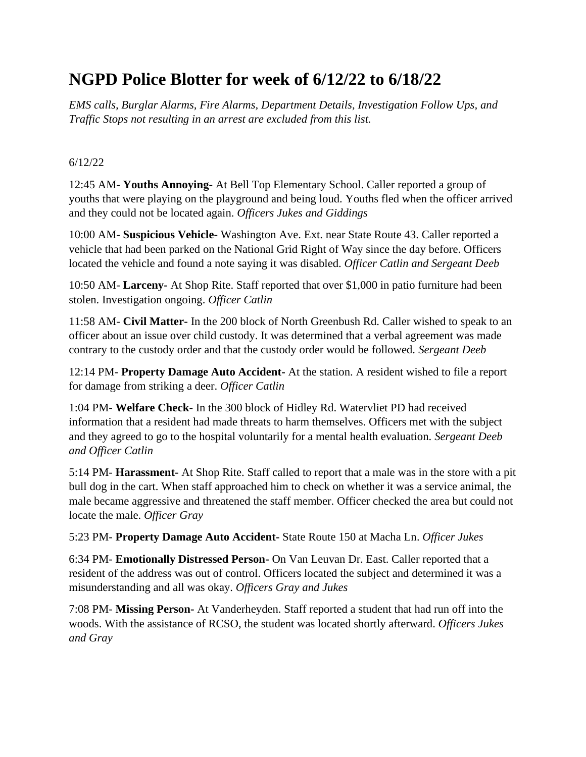# **NGPD Police Blotter for week of 6/12/22 to 6/18/22**

*EMS calls, Burglar Alarms, Fire Alarms, Department Details, Investigation Follow Ups, and Traffic Stops not resulting in an arrest are excluded from this list.*

#### 6/12/22

12:45 AM- **Youths Annoying-** At Bell Top Elementary School. Caller reported a group of youths that were playing on the playground and being loud. Youths fled when the officer arrived and they could not be located again. *Officers Jukes and Giddings*

10:00 AM- **Suspicious Vehicle-** Washington Ave. Ext. near State Route 43. Caller reported a vehicle that had been parked on the National Grid Right of Way since the day before. Officers located the vehicle and found a note saying it was disabled. *Officer Catlin and Sergeant Deeb*

10:50 AM- **Larceny-** At Shop Rite. Staff reported that over \$1,000 in patio furniture had been stolen. Investigation ongoing. *Officer Catlin*

11:58 AM- **Civil Matter-** In the 200 block of North Greenbush Rd. Caller wished to speak to an officer about an issue over child custody. It was determined that a verbal agreement was made contrary to the custody order and that the custody order would be followed. *Sergeant Deeb*

12:14 PM- **Property Damage Auto Accident-** At the station. A resident wished to file a report for damage from striking a deer. *Officer Catlin*

1:04 PM- **Welfare Check-** In the 300 block of Hidley Rd. Watervliet PD had received information that a resident had made threats to harm themselves. Officers met with the subject and they agreed to go to the hospital voluntarily for a mental health evaluation. *Sergeant Deeb and Officer Catlin*

5:14 PM- **Harassment-** At Shop Rite. Staff called to report that a male was in the store with a pit bull dog in the cart. When staff approached him to check on whether it was a service animal, the male became aggressive and threatened the staff member. Officer checked the area but could not locate the male. *Officer Gray*

5:23 PM- **Property Damage Auto Accident-** State Route 150 at Macha Ln. *Officer Jukes*

6:34 PM- **Emotionally Distressed Person-** On Van Leuvan Dr. East. Caller reported that a resident of the address was out of control. Officers located the subject and determined it was a misunderstanding and all was okay. *Officers Gray and Jukes*

7:08 PM- **Missing Person-** At Vanderheyden. Staff reported a student that had run off into the woods. With the assistance of RCSO, the student was located shortly afterward. *Officers Jukes and Gray*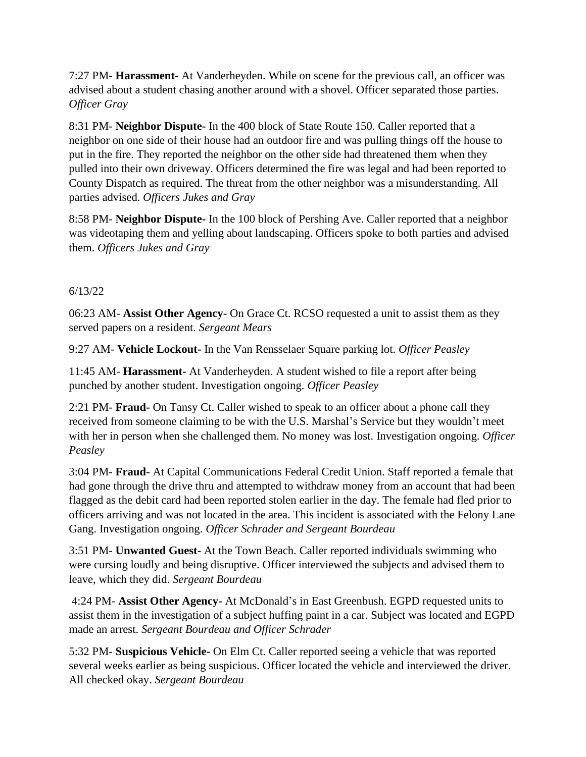7:27 PM- **Harassment-** At Vanderheyden. While on scene for the previous call, an officer was advised about a student chasing another around with a shovel. Officer separated those parties. *Officer Gray*

8:31 PM- **Neighbor Dispute-** In the 400 block of State Route 150. Caller reported that a neighbor on one side of their house had an outdoor fire and was pulling things off the house to put in the fire. They reported the neighbor on the other side had threatened them when they pulled into their own driveway. Officers determined the fire was legal and had been reported to County Dispatch as required. The threat from the other neighbor was a misunderstanding. All parties advised. *Officers Jukes and Gray*

8:58 PM- **Neighbor Dispute-** In the 100 block of Pershing Ave. Caller reported that a neighbor was videotaping them and yelling about landscaping. Officers spoke to both parties and advised them. *Officers Jukes and Gray*

### 6/13/22

06:23 AM- **Assist Other Agency-** On Grace Ct. RCSO requested a unit to assist them as they served papers on a resident. *Sergeant Mears*

9:27 AM- **Vehicle Lockout-** In the Van Rensselaer Square parking lot. *Officer Peasley*

11:45 AM- **Harassment-** At Vanderheyden. A student wished to file a report after being punched by another student. Investigation ongoing. *Officer Peasley*

2:21 PM- **Fraud-** On Tansy Ct. Caller wished to speak to an officer about a phone call they received from someone claiming to be with the U.S. Marshal's Service but they wouldn't meet with her in person when she challenged them. No money was lost. Investigation ongoing. *Officer Peasley*

3:04 PM- **Fraud-** At Capital Communications Federal Credit Union. Staff reported a female that had gone through the drive thru and attempted to withdraw money from an account that had been flagged as the debit card had been reported stolen earlier in the day. The female had fled prior to officers arriving and was not located in the area. This incident is associated with the Felony Lane Gang. Investigation ongoing. *Officer Schrader and Sergeant Bourdeau*

3:51 PM- **Unwanted Guest-** At the Town Beach. Caller reported individuals swimming who were cursing loudly and being disruptive. Officer interviewed the subjects and advised them to leave, which they did. *Sergeant Bourdeau*

4:24 PM- **Assist Other Agency-** At McDonald's in East Greenbush. EGPD requested units to assist them in the investigation of a subject huffing paint in a car. Subject was located and EGPD made an arrest. *Sergeant Bourdeau and Officer Schrader*

5:32 PM- **Suspicious Vehicle-** On Elm Ct. Caller reported seeing a vehicle that was reported several weeks earlier as being suspicious. Officer located the vehicle and interviewed the driver. All checked okay. *Sergeant Bourdeau*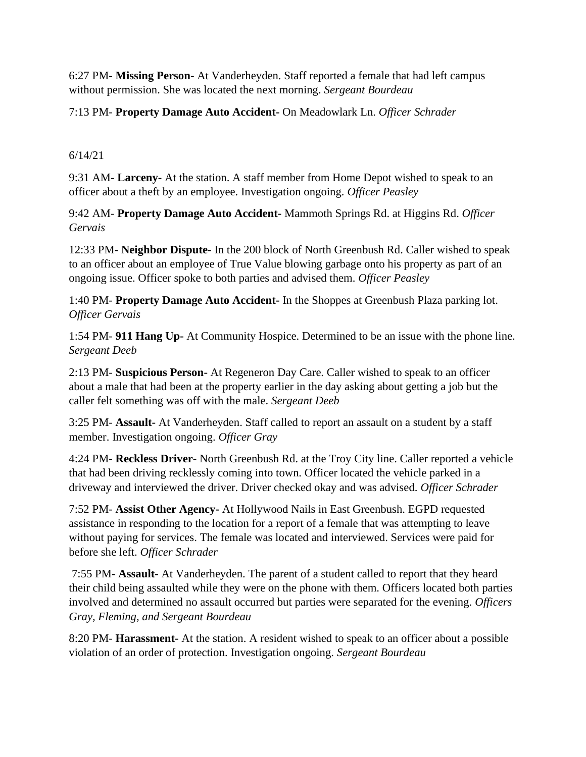6:27 PM- **Missing Person-** At Vanderheyden. Staff reported a female that had left campus without permission. She was located the next morning. *Sergeant Bourdeau*

## 7:13 PM- **Property Damage Auto Accident-** On Meadowlark Ln. *Officer Schrader*

6/14/21

9:31 AM- **Larceny-** At the station. A staff member from Home Depot wished to speak to an officer about a theft by an employee. Investigation ongoing. *Officer Peasley*

9:42 AM- **Property Damage Auto Accident-** Mammoth Springs Rd. at Higgins Rd. *Officer Gervais*

12:33 PM- **Neighbor Dispute-** In the 200 block of North Greenbush Rd. Caller wished to speak to an officer about an employee of True Value blowing garbage onto his property as part of an ongoing issue. Officer spoke to both parties and advised them. *Officer Peasley*

1:40 PM- **Property Damage Auto Accident-** In the Shoppes at Greenbush Plaza parking lot. *Officer Gervais*

1:54 PM- **911 Hang Up-** At Community Hospice. Determined to be an issue with the phone line. *Sergeant Deeb*

2:13 PM- **Suspicious Person-** At Regeneron Day Care. Caller wished to speak to an officer about a male that had been at the property earlier in the day asking about getting a job but the caller felt something was off with the male. *Sergeant Deeb*

3:25 PM- **Assault-** At Vanderheyden. Staff called to report an assault on a student by a staff member. Investigation ongoing. *Officer Gray*

4:24 PM- **Reckless Driver-** North Greenbush Rd. at the Troy City line. Caller reported a vehicle that had been driving recklessly coming into town. Officer located the vehicle parked in a driveway and interviewed the driver. Driver checked okay and was advised. *Officer Schrader*

7:52 PM- **Assist Other Agency-** At Hollywood Nails in East Greenbush. EGPD requested assistance in responding to the location for a report of a female that was attempting to leave without paying for services. The female was located and interviewed. Services were paid for before she left. *Officer Schrader*

7:55 PM- **Assault-** At Vanderheyden. The parent of a student called to report that they heard their child being assaulted while they were on the phone with them. Officers located both parties involved and determined no assault occurred but parties were separated for the evening. *Officers Gray, Fleming, and Sergeant Bourdeau*

8:20 PM- **Harassment-** At the station. A resident wished to speak to an officer about a possible violation of an order of protection. Investigation ongoing. *Sergeant Bourdeau*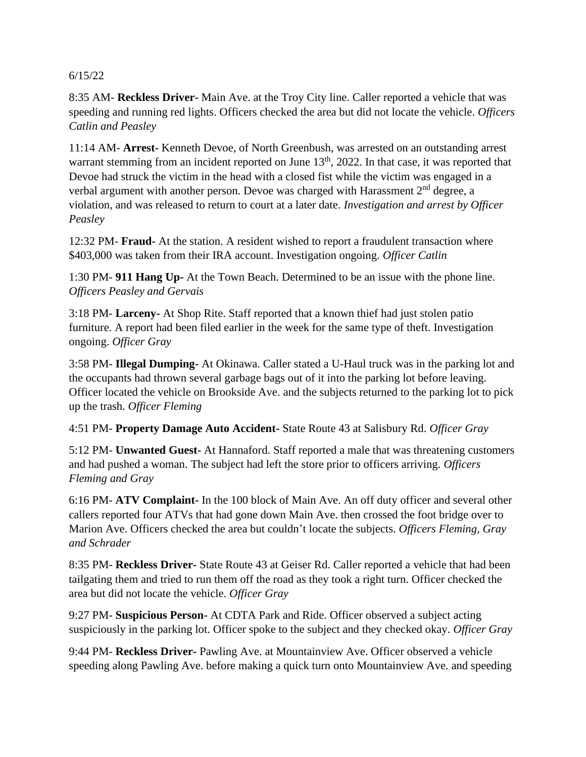#### 6/15/22

8:35 AM- **Reckless Driver-** Main Ave. at the Troy City line. Caller reported a vehicle that was speeding and running red lights. Officers checked the area but did not locate the vehicle. *Officers Catlin and Peasley*

11:14 AM- **Arrest-** Kenneth Devoe, of North Greenbush, was arrested on an outstanding arrest warrant stemming from an incident reported on June 13<sup>th</sup>, 2022. In that case, it was reported that Devoe had struck the victim in the head with a closed fist while the victim was engaged in a verbal argument with another person. Devoe was charged with Harassment  $2<sup>nd</sup>$  degree, a violation, and was released to return to court at a later date. *Investigation and arrest by Officer Peasley*

12:32 PM- **Fraud-** At the station. A resident wished to report a fraudulent transaction where \$403,000 was taken from their IRA account. Investigation ongoing. *Officer Catlin*

1:30 PM- **911 Hang Up-** At the Town Beach. Determined to be an issue with the phone line. *Officers Peasley and Gervais*

3:18 PM- **Larceny-** At Shop Rite. Staff reported that a known thief had just stolen patio furniture. A report had been filed earlier in the week for the same type of theft. Investigation ongoing. *Officer Gray*

3:58 PM- **Illegal Dumping-** At Okinawa. Caller stated a U-Haul truck was in the parking lot and the occupants had thrown several garbage bags out of it into the parking lot before leaving. Officer located the vehicle on Brookside Ave. and the subjects returned to the parking lot to pick up the trash. *Officer Fleming*

4:51 PM- **Property Damage Auto Accident-** State Route 43 at Salisbury Rd. *Officer Gray*

5:12 PM- **Unwanted Guest-** At Hannaford. Staff reported a male that was threatening customers and had pushed a woman. The subject had left the store prior to officers arriving. *Officers Fleming and Gray*

6:16 PM- **ATV Complaint-** In the 100 block of Main Ave. An off duty officer and several other callers reported four ATVs that had gone down Main Ave. then crossed the foot bridge over to Marion Ave. Officers checked the area but couldn't locate the subjects. *Officers Fleming, Gray and Schrader*

8:35 PM- **Reckless Driver-** State Route 43 at Geiser Rd. Caller reported a vehicle that had been tailgating them and tried to run them off the road as they took a right turn. Officer checked the area but did not locate the vehicle. *Officer Gray*

9:27 PM- **Suspicious Person-** At CDTA Park and Ride. Officer observed a subject acting suspiciously in the parking lot. Officer spoke to the subject and they checked okay. *Officer Gray*

9:44 PM- **Reckless Driver-** Pawling Ave. at Mountainview Ave. Officer observed a vehicle speeding along Pawling Ave. before making a quick turn onto Mountainview Ave. and speeding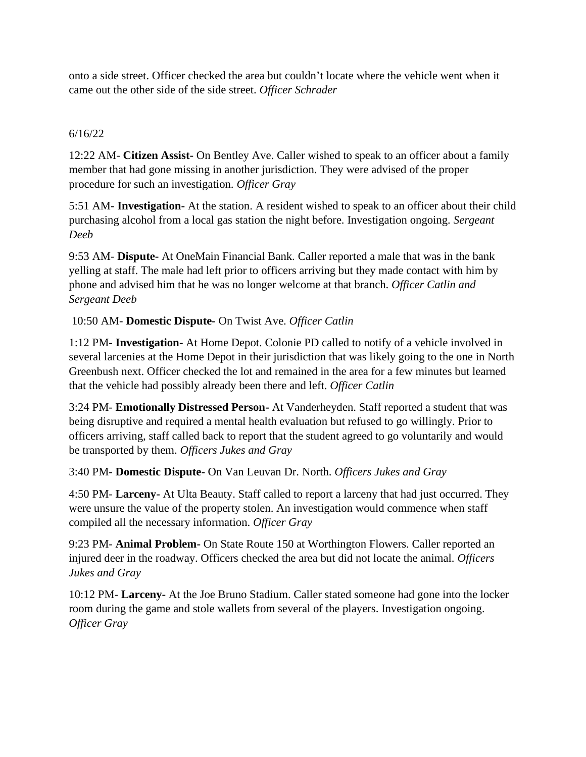onto a side street. Officer checked the area but couldn't locate where the vehicle went when it came out the other side of the side street. *Officer Schrader*

## 6/16/22

12:22 AM- **Citizen Assist-** On Bentley Ave. Caller wished to speak to an officer about a family member that had gone missing in another jurisdiction. They were advised of the proper procedure for such an investigation. *Officer Gray*

5:51 AM- **Investigation-** At the station. A resident wished to speak to an officer about their child purchasing alcohol from a local gas station the night before. Investigation ongoing*. Sergeant Deeb*

9:53 AM- **Dispute-** At OneMain Financial Bank. Caller reported a male that was in the bank yelling at staff. The male had left prior to officers arriving but they made contact with him by phone and advised him that he was no longer welcome at that branch. *Officer Catlin and Sergeant Deeb*

## 10:50 AM- **Domestic Dispute-** On Twist Ave. *Officer Catlin*

1:12 PM- **Investigation-** At Home Depot. Colonie PD called to notify of a vehicle involved in several larcenies at the Home Depot in their jurisdiction that was likely going to the one in North Greenbush next. Officer checked the lot and remained in the area for a few minutes but learned that the vehicle had possibly already been there and left. *Officer Catlin*

3:24 PM- **Emotionally Distressed Person-** At Vanderheyden. Staff reported a student that was being disruptive and required a mental health evaluation but refused to go willingly. Prior to officers arriving, staff called back to report that the student agreed to go voluntarily and would be transported by them. *Officers Jukes and Gray*

### 3:40 PM- **Domestic Dispute-** On Van Leuvan Dr. North. *Officers Jukes and Gray*

4:50 PM- **Larceny-** At Ulta Beauty. Staff called to report a larceny that had just occurred. They were unsure the value of the property stolen. An investigation would commence when staff compiled all the necessary information. *Officer Gray*

9:23 PM- **Animal Problem-** On State Route 150 at Worthington Flowers. Caller reported an injured deer in the roadway. Officers checked the area but did not locate the animal. *Officers Jukes and Gray*

10:12 PM- **Larceny-** At the Joe Bruno Stadium. Caller stated someone had gone into the locker room during the game and stole wallets from several of the players. Investigation ongoing. *Officer Gray*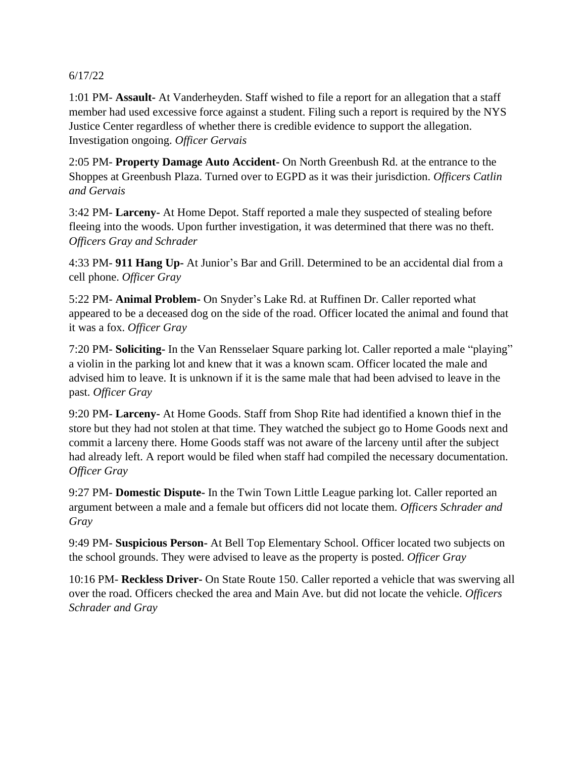#### 6/17/22

1:01 PM- **Assault-** At Vanderheyden. Staff wished to file a report for an allegation that a staff member had used excessive force against a student. Filing such a report is required by the NYS Justice Center regardless of whether there is credible evidence to support the allegation. Investigation ongoing. *Officer Gervais*

2:05 PM- **Property Damage Auto Accident-** On North Greenbush Rd. at the entrance to the Shoppes at Greenbush Plaza. Turned over to EGPD as it was their jurisdiction. *Officers Catlin and Gervais*

3:42 PM- **Larceny-** At Home Depot. Staff reported a male they suspected of stealing before fleeing into the woods. Upon further investigation, it was determined that there was no theft. *Officers Gray and Schrader*

4:33 PM- **911 Hang Up-** At Junior's Bar and Grill. Determined to be an accidental dial from a cell phone. *Officer Gray*

5:22 PM- **Animal Problem-** On Snyder's Lake Rd. at Ruffinen Dr. Caller reported what appeared to be a deceased dog on the side of the road. Officer located the animal and found that it was a fox. *Officer Gray*

7:20 PM- **Soliciting-** In the Van Rensselaer Square parking lot. Caller reported a male "playing" a violin in the parking lot and knew that it was a known scam. Officer located the male and advised him to leave. It is unknown if it is the same male that had been advised to leave in the past. *Officer Gray*

9:20 PM- **Larceny-** At Home Goods. Staff from Shop Rite had identified a known thief in the store but they had not stolen at that time. They watched the subject go to Home Goods next and commit a larceny there. Home Goods staff was not aware of the larceny until after the subject had already left. A report would be filed when staff had compiled the necessary documentation. *Officer Gray*

9:27 PM- **Domestic Dispute-** In the Twin Town Little League parking lot. Caller reported an argument between a male and a female but officers did not locate them. *Officers Schrader and Gray*

9:49 PM- **Suspicious Person-** At Bell Top Elementary School. Officer located two subjects on the school grounds. They were advised to leave as the property is posted. *Officer Gray*

10:16 PM- **Reckless Driver-** On State Route 150. Caller reported a vehicle that was swerving all over the road. Officers checked the area and Main Ave. but did not locate the vehicle. *Officers Schrader and Gray*